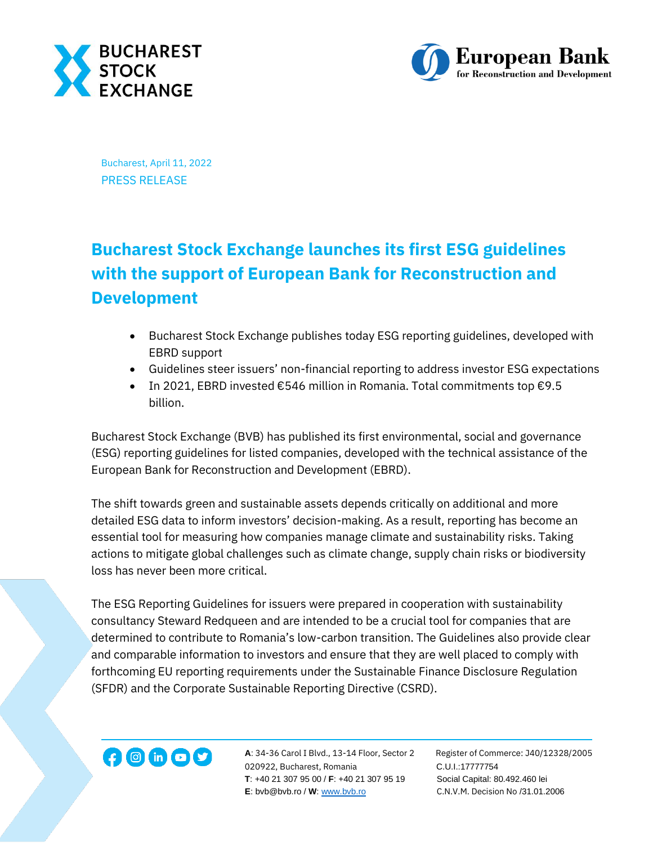



Bucharest, April 11, 2022 PRESS RELEASE

## **Bucharest Stock Exchange launches its first ESG guidelines with the support of European Bank for Reconstruction and Development**

- Bucharest Stock Exchange publishes today ESG reporting guidelines, developed with EBRD support
- Guidelines steer issuers' non-financial reporting to address investor ESG expectations
- In 2021, EBRD invested €546 million in Romania. Total commitments top €9.5 billion.

Bucharest Stock Exchange (BVB) has published its first environmental, social and governance (ESG) reporting guidelines for listed companies, developed with the technical assistance of the European Bank for Reconstruction and Development (EBRD).

The shift towards green and sustainable assets depends critically on additional and more detailed ESG data to inform investors' decision-making. As a result, reporting has become an essential tool for measuring how companies manage climate and sustainability risks. Taking actions to mitigate global challenges such as climate change, supply chain risks or biodiversity loss has never been more critical.

The ESG Reporting Guidelines for issuers were prepared in cooperation with sustainability consultancy Steward Redqueen and are intended to be a crucial tool for companies that are determined to contribute to Romania's low-carbon transition. The Guidelines also provide clear and comparable information to investors and ensure that they are well placed to comply with forthcoming EU reporting requirements under the Sustainable Finance Disclosure Regulation (SFDR) and the Corporate Sustainable Reporting Directive (CSRD).



**A**: 34-36 Carol I Blvd., 13-14 Floor, Sector 2 Register of Commerce: J40/12328/2005 **1200 Conduit Additional A:** 34-36 Carol I Blvd., 13-14 Floor, Sector 2 Register of Comm<br>020922, Bucharest, Romania C.U.I.:17777754  **T**: +40 21 307 95 00 / **F**: +40 21 307 95 19 Social Capital: 80.492.460 lei  **E**: bvb@bvb.ro / **W**[: www.bvb.ro](http://www.bvb.ro/) C.N.V.M. Decision No /31.01.2006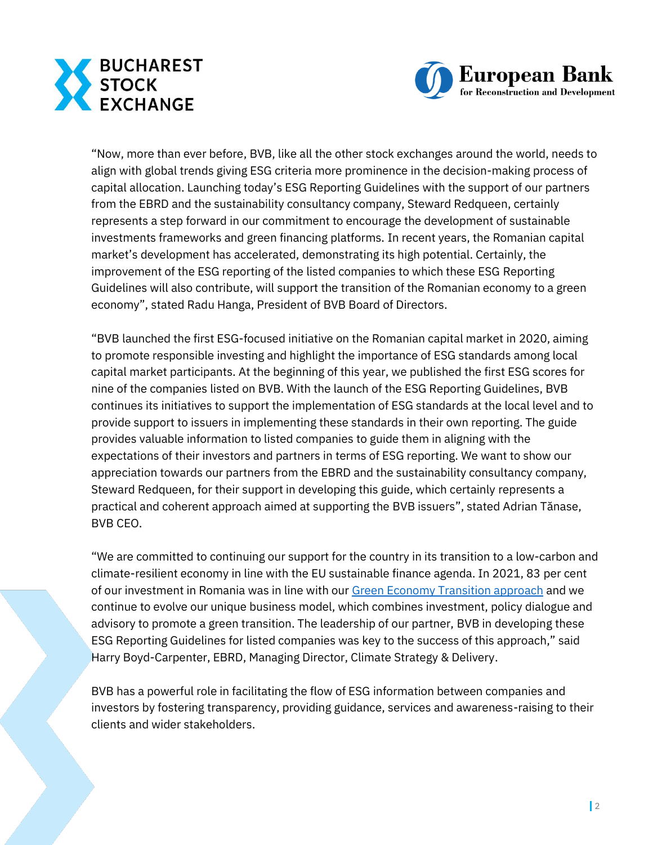



"Now, more than ever before, BVB, like all the other stock exchanges around the world, needs to align with global trends giving ESG criteria more prominence in the decision-making process of capital allocation. Launching today's ESG Reporting Guidelines with the support of our partners from the EBRD and the sustainability consultancy company, Steward Redqueen, certainly represents a step forward in our commitment to encourage the development of sustainable investments frameworks and green financing platforms. In recent years, the Romanian capital market's development has accelerated, demonstrating its high potential. Certainly, the improvement of the ESG reporting of the listed companies to which these ESG Reporting Guidelines will also contribute, will support the transition of the Romanian economy to a green economy", stated Radu Hanga, President of BVB Board of Directors.

"BVB launched the first ESG-focused initiative on the Romanian capital market in 2020, aiming to promote responsible investing and highlight the importance of ESG standards among local capital market participants. At the beginning of this year, we published the first ESG scores for nine of the companies listed on BVB. With the launch of the ESG Reporting Guidelines, BVB continues its initiatives to support the implementation of ESG standards at the local level and to provide support to issuers in implementing these standards in their own reporting. The guide provides valuable information to listed companies to guide them in aligning with the expectations of their investors and partners in terms of ESG reporting. We want to show our appreciation towards our partners from the EBRD and the sustainability consultancy company, Steward Redqueen, for their support in developing this guide, which certainly represents a practical and coherent approach aimed at supporting the BVB issuers", stated Adrian Tănase, BVB CEO.

"We are committed to continuing our support for the country in its transition to a low-carbon and climate-resilient economy in line with the EU sustainable finance agenda. In 2021, 83 per cent of our investment in Romania was in line with our [Green Economy Transition approach](https://www.ebrd.com/what-we-do/get.html) and we continue to evolve our unique business model, which combines investment, policy dialogue and advisory to promote a green transition. The leadership of our partner, BVB in developing these ESG Reporting Guidelines for listed companies was key to the success of this approach," said Harry Boyd-Carpenter, EBRD, Managing Director, Climate Strategy & Delivery.

BVB has a powerful role in facilitating the flow of ESG information between companies and investors by fostering transparency, providing guidance, services and awareness-raising to their clients and wider stakeholders.